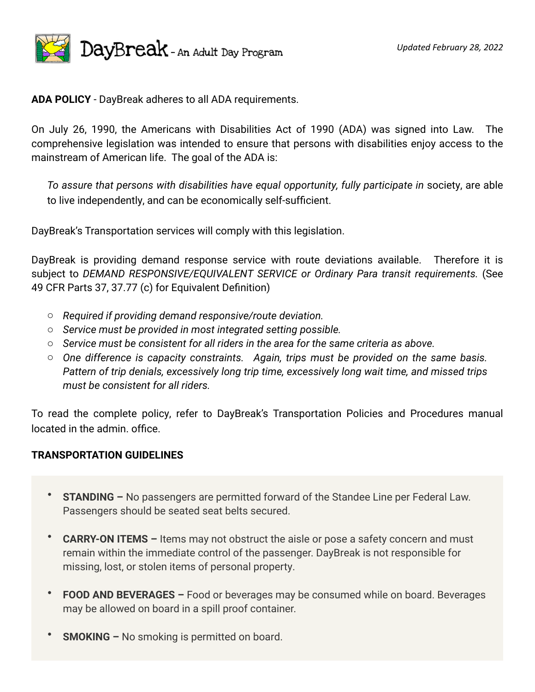

**ADA POLICY** - DayBreak adheres to all ADA requirements.

On July 26, 1990, the Americans with Disabilities Act of 1990 (ADA) was signed into Law. The comprehensive legislation was intended to ensure that persons with disabilities enjoy access to the mainstream of American life. The goal of the ADA is:

*To assure that persons with disabilities have equal opportunity, fully participate in* society, are able to live independently, and can be economically self-sufficient.

DayBreak's Transportation services will comply with this legislation.

DayBreak is providing demand response service with route deviations available. Therefore it is subject to DEMAND RESPONSIVE/EQUIVALENT SERVICE or Ordinary Para transit requirements. (See 49 CFR Parts 37, 37.77 (c) for Equivalent Definition)

- o *Required if providing demand responsive/route deviation.*
- o *Service must be provided in most integrated setting possible.*
- o *Service must be consistent for all riders in the area for the same criteria as above.*
- o *One difference is capacity constraints. Again, trips must be provided on the same basis. Pattern of trip denials, excessively long trip time, excessively long wait time, and missed trips must be consistent for all riders.*

To read the complete policy, refer to DayBreak's Transportation Policies and Procedures manual located in the admin. office.

## **TRANSPORTATION GUIDELINES**

- **STANDING –** No passengers are permitted forward of the Standee Line per Federal Law. Passengers should be seated seat belts secured.
- **CARRY-ON ITEMS –** Items may not obstruct the aisle or pose a safety concern and must remain within the immediate control of the passenger. DayBreak is not responsible for missing, lost, or stolen items of personal property.
- **FOOD AND BEVERAGES –** Food or beverages may be consumed while on board. Beverages may be allowed on board in a spill proof container.
- **SMOKING –** No smoking is permitted on board.